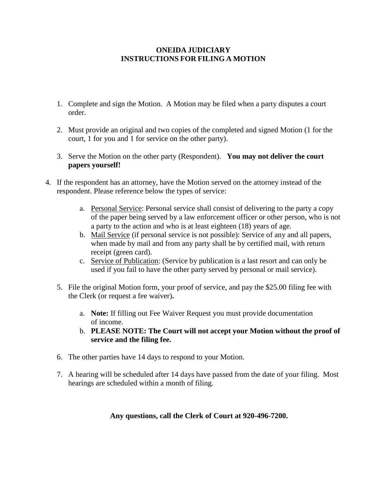#### **ONEIDA JUDICIARY INSTRUCTIONS FOR FILING A MOTION**

- 1. Complete and sign the Motion. A Motion may be filed when a party disputes a court order.
- 2. Must provide an original and two copies of the completed and signed Motion (1 for the court, 1 for you and 1 for service on the other party).
- 3. Serve the Motion on the other party (Respondent). **You may not deliver the court papers yourself!**
- 4. If the respondent has an attorney, have the Motion served on the attorney instead of the respondent. Please reference below the types of service:
	- a. Personal Service: Personal service shall consist of delivering to the party a copy of the paper being served by a law enforcement officer or other person, who is not a party to the action and who is at least eighteen (18) years of age.
	- b. Mail Service (if personal service is not possible): Service of any and all papers, when made by mail and from any party shall be by certified mail, with return receipt (green card).
	- c. Service of Publication: (Service by publication is a last resort and can only be used if you fail to have the other party served by personal or mail service).
	- 5. File the original Motion form, your proof of service, and pay the \$25.00 filing fee with the Clerk (or request a fee waiver)**.**
		- a. **Note:** If filling out Fee Waiver Request you must provide documentation of income.
		- b. **PLEASE NOTE: The Court will not accept your Motion without the proof of service and the filing fee.**
	- 6. The other parties have 14 days to respond to your Motion.
	- 7. A hearing will be scheduled after 14 days have passed from the date of your filing. Most hearings are scheduled within a month of filing.

### **Any questions, call the Clerk of Court at 920-496-7200.**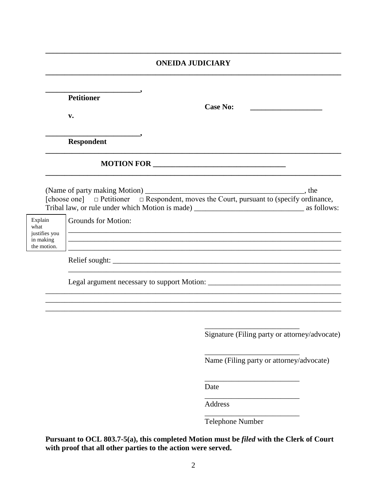#### **ONEIDA JUDICIARY**

| <b>Petitioner</b><br>v.                                      |                     | <b>Case No:</b>                                                                                    |  |  |  |
|--------------------------------------------------------------|---------------------|----------------------------------------------------------------------------------------------------|--|--|--|
|                                                              | <b>Respondent</b>   |                                                                                                    |  |  |  |
|                                                              |                     |                                                                                                    |  |  |  |
|                                                              |                     | [choose one] $\Box$ Petitioner $\Box$ Respondent, moves the Court, pursuant to (specify ordinance, |  |  |  |
| Explain<br>what<br>justifies you<br>in making<br>the motion. | Grounds for Motion: |                                                                                                    |  |  |  |
|                                                              |                     |                                                                                                    |  |  |  |
|                                                              |                     |                                                                                                    |  |  |  |
|                                                              |                     |                                                                                                    |  |  |  |
|                                                              |                     | Signature (Filing party or attorney/advocate)                                                      |  |  |  |
|                                                              |                     | Name (Filing party or attorney/advocate)                                                           |  |  |  |
|                                                              |                     | Date                                                                                               |  |  |  |

Address

Telephone Number

Pursuant to OCL 803.7-5(a), this completed Motion must be *filed* with the Clerk of Court with proof that all other parties to the action were served.